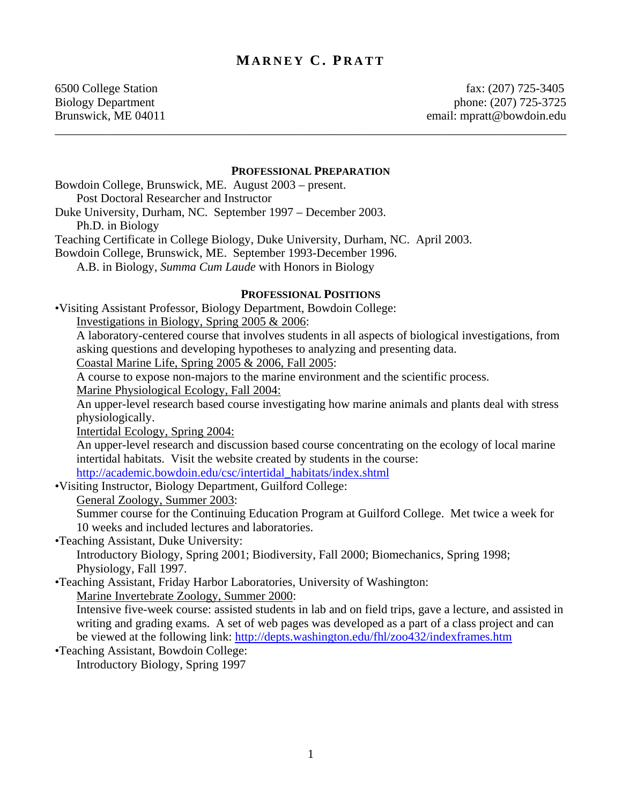# **MARNEY C . P RATT**

\_\_\_\_\_\_\_\_\_\_\_\_\_\_\_\_\_\_\_\_\_\_\_\_\_\_\_\_\_\_\_\_\_\_\_\_\_\_\_\_\_\_\_\_\_\_\_\_\_\_\_\_\_\_\_\_\_\_\_\_\_\_\_\_\_\_\_\_\_\_\_\_\_\_\_\_\_\_\_\_\_\_\_\_

6500 College Station fax: (207) 725-3405 Biology Department phone: (207) 725-3725 Brunswick, ME 04011 email: mpratt@bowdoin.edu

#### **PROFESSIONAL PREPARATION**

Bowdoin College, Brunswick, ME. August 2003 – present. Post Doctoral Researcher and Instructor Duke University, Durham, NC. September 1997 – December 2003. Ph.D. in Biology

Teaching Certificate in College Biology, Duke University, Durham, NC. April 2003.

Bowdoin College, Brunswick, ME. September 1993-December 1996.

A.B. in Biology, *Summa Cum Laude* with Honors in Biology

#### **PROFESSIONAL POSITIONS**

•Visiting Assistant Professor, Biology Department, Bowdoin College:

Investigations in Biology, Spring 2005 & 2006:

A laboratory-centered course that involves students in all aspects of biological investigations, from asking questions and developing hypotheses to analyzing and presenting data.

Coastal Marine Life, Spring 2005 & 2006, Fall 2005:

A course to expose non-majors to the marine environment and the scientific process.

Marine Physiological Ecology, Fall 2004:

An upper-level research based course investigating how marine animals and plants deal with stress physiologically.

Intertidal Ecology, Spring 2004:

An upper-level research and discussion based course concentrating on the ecology of local marine intertidal habitats. Visit the website created by students in the course:

[http://academic.bowdoin.edu/csc/intertidal\\_habitats/index.shtml](http://academic.bowdoin.edu/csc/intertidal_habitats/index.shtml)

•Visiting Instructor, Biology Department, Guilford College:

General Zoology, Summer 2003:

Summer course for the Continuing Education Program at Guilford College. Met twice a week for 10 weeks and included lectures and laboratories.

•Teaching Assistant, Duke University:

Introductory Biology, Spring 2001; Biodiversity, Fall 2000; Biomechanics, Spring 1998; Physiology, Fall 1997.

•Teaching Assistant, Friday Harbor Laboratories, University of Washington: Marine Invertebrate Zoology, Summer 2000:

Intensive five-week course: assisted students in lab and on field trips, gave a lecture, and assisted in writing and grading exams. A set of web pages was developed as a part of a class project and can be viewed at the following link:<http://depts.washington.edu/fhl/zoo432/indexframes.htm>

•Teaching Assistant, Bowdoin College: Introductory Biology, Spring 1997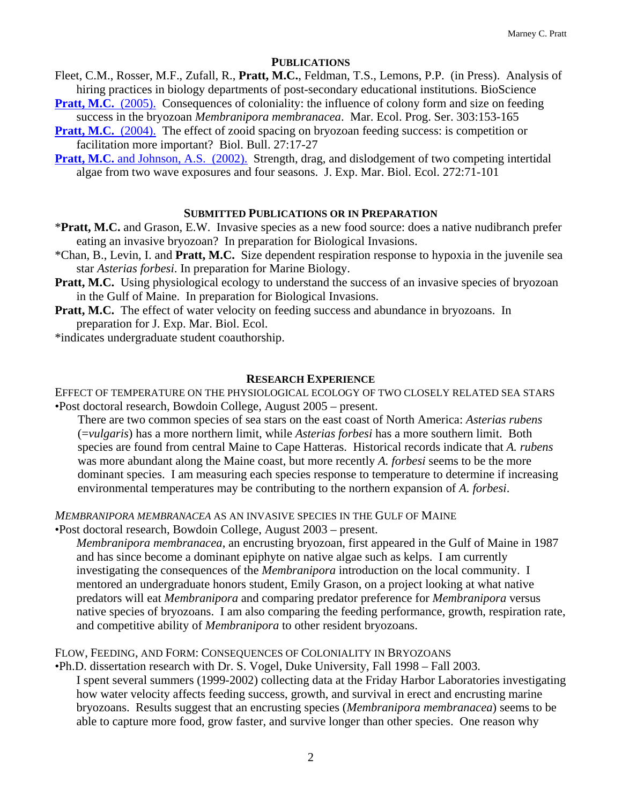## **PUBLICATIONS**

Fleet, C.M., Rosser, M.F., Zufall, R., **Pratt, M.C.**, Feldman, T.S., Lemons, P.P. (in Press). Analysis of hiring practices in biology departments of post-secondary educational institutions. BioScience

**Pratt, M.C.** (2005). Consequences of coloniality: the influence of colony form and size on feeding success in the bryozoan *Membranipora membranacea*. Mar. Ecol. Prog. Ser. 303:153-165

- **Pratt, M.C.** (2004). The effect of zooid spacing on bryozoan feeding success: is competition or facilitation more important? Biol. Bull. 27:17-27
- **Pratt, M.C.** and Johnson, A.S. (2002). Strength, drag, and dislodgement of two competing intertidal algae from two wave exposures and four seasons. J. Exp. Mar. Biol. Ecol. 272:71-101

## **SUBMITTED PUBLICATIONS OR IN PREPARATION**

- \***Pratt, M.C.** and Grason, E.W. Invasive species as a new food source: does a native nudibranch prefer eating an invasive bryozoan? In preparation for Biological Invasions.
- \*Chan, B., Levin, I. and **Pratt, M.C.** Size dependent respiration response to hypoxia in the juvenile sea star *Asterias forbesi*. In preparation for Marine Biology.
- **Pratt, M.C.** Using physiological ecology to understand the success of an invasive species of bryozoan in the Gulf of Maine. In preparation for Biological Invasions.
- **Pratt, M.C.** The effect of water velocity on feeding success and abundance in bryozoans. In preparation for J. Exp. Mar. Biol. Ecol.
- \*indicates undergraduate student coauthorship.

## **RESEARCH EXPERIENCE**

EFFECT OF TEMPERATURE ON THE PHYSIOLOGICAL ECOLOGY OF TWO CLOSELY RELATED SEA STARS •Post doctoral research, Bowdoin College, August 2005 – present.

There are two common species of sea stars on the east coast of North America: *Asterias rubens* (=*vulgaris*) has a more northern limit, while *Asterias forbesi* has a more southern limit. Both species are found from central Maine to Cape Hatteras. Historical records indicate that *A. rubens* was more abundant along the Maine coast, but more recently *A. forbesi* seems to be the more dominant species. I am measuring each species response to temperature to determine if increasing environmental temperatures may be contributing to the northern expansion of *A. forbesi*.

*MEMBRANIPORA MEMBRANACEA* AS AN INVASIVE SPECIES IN THE GULF OF MAINE

•Post doctoral research, Bowdoin College, August 2003 – present.

*Membranipora membranacea*, an encrusting bryozoan, first appeared in the Gulf of Maine in 1987 and has since become a dominant epiphyte on native algae such as kelps. I am currently investigating the consequences of the *Membranipora* introduction on the local community. I mentored an undergraduate honors student, Emily Grason, on a project looking at what native predators will eat *Membranipora* and comparing predator preference for *Membranipora* versus native species of bryozoans. I am also comparing the feeding performance, growth, respiration rate, and competitive ability of *Membranipora* to other resident bryozoans.

FLOW, FEEDING, AND FORM: CONSEQUENCES OF COLONIALITY IN BRYOZOANS

- •Ph.D. dissertation research with Dr. S. Vogel, Duke University, Fall 1998 Fall 2003. I spent several summers (1999-2002) collecting data at the Friday Harbor Laboratories investigating
	- how water velocity affects feeding success, growth, and survival in erect and encrusting marine bryozoans. Results suggest that an encrusting species (*Membranipora membranacea*) seems to be able to capture more food, grow faster, and survive longer than other species. One reason why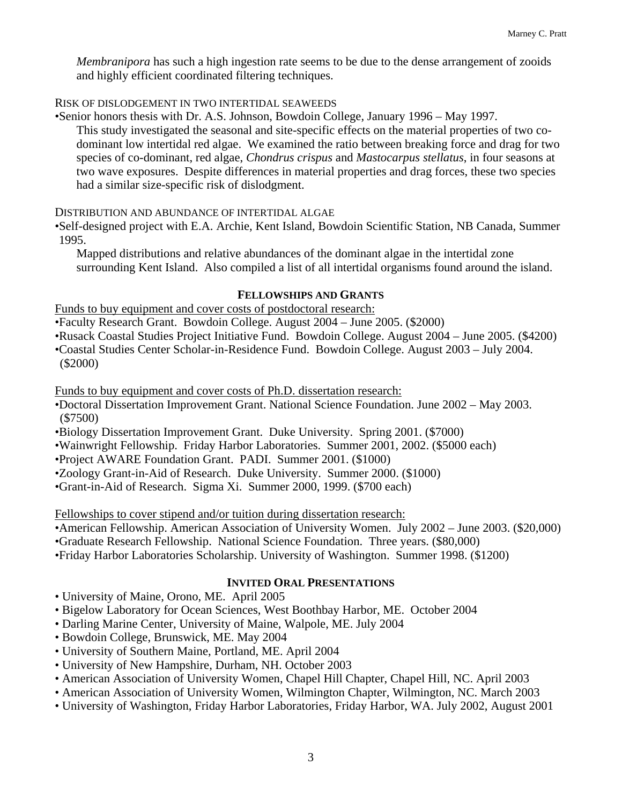*Membranipora* has such a high ingestion rate seems to be due to the dense arrangement of zooids and highly efficient coordinated filtering techniques.

# RISK OF DISLODGEMENT IN TWO INTERTIDAL SEAWEEDS

•Senior honors thesis with Dr. A.S. Johnson, Bowdoin College, January 1996 – May 1997.

This study investigated the seasonal and site-specific effects on the material properties of two codominant low intertidal red algae. We examined the ratio between breaking force and drag for two species of co-dominant, red algae, *Chondrus crispus* and *Mastocarpus stellatus*, in four seasons at two wave exposures. Despite differences in material properties and drag forces, these two species had a similar size-specific risk of dislodgment.

DISTRIBUTION AND ABUNDANCE OF INTERTIDAL ALGAE

•Self-designed project with E.A. Archie, Kent Island, Bowdoin Scientific Station, NB Canada, Summer 1995.

Mapped distributions and relative abundances of the dominant algae in the intertidal zone surrounding Kent Island. Also compiled a list of all intertidal organisms found around the island.

## **FELLOWSHIPS AND GRANTS**

Funds to buy equipment and cover costs of postdoctoral research:

•Faculty Research Grant. Bowdoin College. August 2004 – June 2005. (\$2000)

- •Rusack Coastal Studies Project Initiative Fund. Bowdoin College. August 2004 June 2005. (\$4200)
- •Coastal Studies Center Scholar-in-Residence Fund. Bowdoin College. August 2003 July 2004. (\$2000)

Funds to buy equipment and cover costs of Ph.D. dissertation research:

- •Doctoral Dissertation Improvement Grant. National Science Foundation. June 2002 May 2003. (\$7500)
- •Biology Dissertation Improvement Grant. Duke University. Spring 2001. (\$7000)
- •Wainwright Fellowship. Friday Harbor Laboratories. Summer 2001, 2002. (\$5000 each)
- •Project AWARE Foundation Grant. PADI. Summer 2001. (\$1000)
- •Zoology Grant-in-Aid of Research. Duke University. Summer 2000. (\$1000)
- •Grant-in-Aid of Research. Sigma Xi. Summer 2000, 1999. (\$700 each)

Fellowships to cover stipend and/or tuition during dissertation research:

•American Fellowship. American Association of University Women. July 2002 – June 2003. (\$20,000)

- •Graduate Research Fellowship. National Science Foundation. Three years. (\$80,000)
- •Friday Harbor Laboratories Scholarship. University of Washington. Summer 1998. (\$1200)

## **INVITED ORAL PRESENTATIONS**

- University of Maine, Orono, ME. April 2005
- Bigelow Laboratory for Ocean Sciences, West Boothbay Harbor, ME. October 2004
- Darling Marine Center, University of Maine, Walpole, ME. July 2004
- Bowdoin College, Brunswick, ME. May 2004
- University of Southern Maine, Portland, ME. April 2004
- University of New Hampshire, Durham, NH. October 2003
- American Association of University Women, Chapel Hill Chapter, Chapel Hill, NC. April 2003
- American Association of University Women, Wilmington Chapter, Wilmington, NC. March 2003
- University of Washington, Friday Harbor Laboratories, Friday Harbor, WA. July 2002, August 2001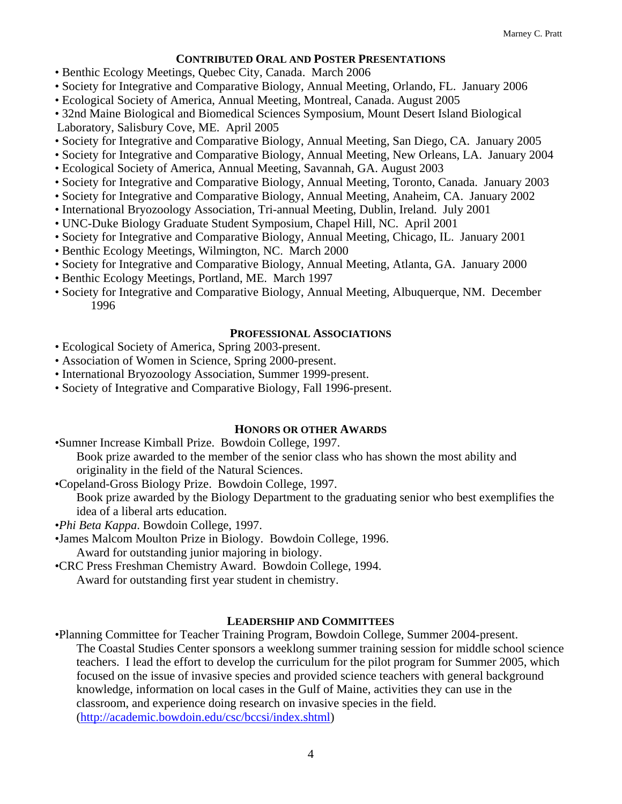## **CONTRIBUTED ORAL AND POSTER PRESENTATIONS**

- Benthic Ecology Meetings, Quebec City, Canada. March 2006
- Society for Integrative and Comparative Biology, Annual Meeting, Orlando, FL. January 2006
- Ecological Society of America, Annual Meeting, Montreal, Canada. August 2005
- L aboratory, Salisbury Cove, ME. April 2005 • 32nd Maine Biological and Biomedical Sciences Symposium, Mount Desert Island Biological
- Society for Integrative and Comparative Biology, Annual Meeting, San Diego, CA. January 2005
- Society for Integrative and Comparative Biology, Annual Meeting, New Orleans, LA. January 2004
- Ecological Society of America, Annual Meeting, Savannah, GA. August 2003
- Society for Integrative and Comparative Biology, Annual Meeting, Toronto, Canada. January 2003
- Society for Integrative and Comparative Biology, Annual Meeting, Anaheim, CA. January 2002
- International Bryozoology Association, Tri-annual Meeting, Dublin, Ireland. July 2001
- UNC-Duke Biology Graduate Student Symposium, Chapel Hill, NC. April 2001
- Society for Integrative and Comparative Biology, Annual Meeting, Chicago, IL. January 2001
- Benthic Ecology Meetings, Wilmington, NC. March 2000
- Society for Integrative and Comparative Biology, Annual Meeting, Atlanta, GA. January 2000
- Benthic Ecology Meetings, Portland, ME. March 1997
- Society for Integrative and Comparative Biology, Annual Meeting, Albuquerque, NM. December 1996

#### **PROFESSIONAL ASSOCIATIONS**

- Ecological Society of America, Spring 2003-present.
- Association of Women in Science, Spring 2000-present.
- International Bryozoology Association, Summer 1999-present.
- Society of Integrative and Comparative Biology, Fall 1996-present.

## **HONORS OR OTHER AWARDS**

- •Sumner Increase Kimball Prize. Bowdoin College, 1997. Book prize awarded to the member of the senior class who has shown the most ability and originality in the field of the Natural Sciences.
- •Copeland-Gross Biology Prize. Bowdoin College, 1997.

Book prize awarded by the Biology Department to the graduating senior who best exemplifies the idea of a liberal arts education.

- •*Phi Beta Kappa*. Bowdoin College, 1997.
- •James Malcom Moulton Prize in Biology. Bowdoin College, 1996. Award for outstanding junior majoring in biology.
- •CRC Press Freshman Chemistry Award. Bowdoin College, 1994. Award for outstanding first year student in chemistry.

## **LEADERSHIP AND COMMITTEES**

•Planning Committee for Teacher Training Program, Bowdoin College, Summer 2004-present. The Coastal Studies Center sponsors a weeklong summer training session for middle school science teachers. I lead the effort to develop the curriculum for the pilot program for Summer 2005, which focused on the issue of invasive species and provided science teachers with general background knowledge, information on local cases in the Gulf of Maine, activities they can use in the classroom, and experience doing research on invasive species in the field. [\(http://academic.bowdoin.edu/csc/bccsi/index.shtml](http://academic.bowdoin.edu/csc/bccsi/index.shtml))